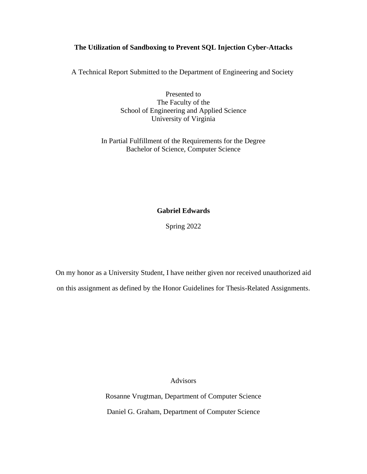#### **The Utilization of Sandboxing to Prevent SQL Injection Cyber-Attacks**

A Technical Report Submitted to the Department of Engineering and Society

Presented to The Faculty of the School of Engineering and Applied Science University of Virginia

In Partial Fulfillment of the Requirements for the Degree Bachelor of Science, Computer Science

**Gabriel Edwards**

Spring 2022

On my honor as a University Student, I have neither given nor received unauthorized aid on this assignment as defined by the Honor Guidelines for Thesis-Related Assignments.

Advisors

Rosanne Vrugtman, Department of Computer Science Daniel G. Graham, Department of Computer Science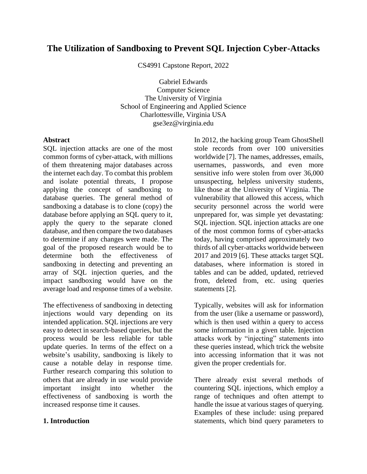# **The Utilization of Sandboxing to Prevent SQL Injection Cyber-Attacks**

CS4991 Capstone Report, 2022

Gabriel Edwards Computer Science The University of Virginia School of Engineering and Applied Science Charlottesville, Virginia USA gse3ez@virginia.edu

#### **Abstract**

SQL injection attacks are one of the most common forms of cyber-attack, with millions of them threatening major databases across the internet each day. To combat this problem and isolate potential threats, I propose applying the concept of sandboxing to database queries. The general method of sandboxing a database is to clone (copy) the database before applying an SQL query to it, apply the query to the separate cloned database, and then compare the two databases to determine if any changes were made. The goal of the proposed research would be to determine both the effectiveness of sandboxing in detecting and preventing an array of SQL injection queries, and the impact sandboxing would have on the average load and response times of a website.

The effectiveness of sandboxing in detecting injections would vary depending on its intended application. SQL injections are very easy to detect in search-based queries, but the process would be less reliable for table update queries. In terms of the effect on a website's usability, sandboxing is likely to cause a notable delay in response time. Further research comparing this solution to others that are already in use would provide important insight into whether the effectiveness of sandboxing is worth the increased response time it causes.

#### **1. Introduction**

In 2012, the hacking group Team GhostShell stole records from over 100 universities worldwide [7]. The names, addresses, emails, usernames, passwords, and even more sensitive info were stolen from over 36,000 unsuspecting, helpless university students, like those at the University of Virginia. The vulnerability that allowed this access, which security personnel across the world were unprepared for, was simple yet devastating: SQL injection. SQL injection attacks are one of the most common forms of cyber-attacks today, having comprised approximately two thirds of all cyber-attacks worldwide between 2017 and 2019 [6]. These attacks target SQL databases, where information is stored in tables and can be added, updated, retrieved from, deleted from, etc. using queries statements [2].

Typically, websites will ask for information from the user (like a username or password), which is then used within a query to access some information in a given table. Injection attacks work by "injecting" statements into these queries instead, which trick the website into accessing information that it was not given the proper credentials for.

There already exist several methods of countering SQL injections, which employ a range of techniques and often attempt to handle the issue at various stages of querying. Examples of these include: using prepared statements, which bind query parameters to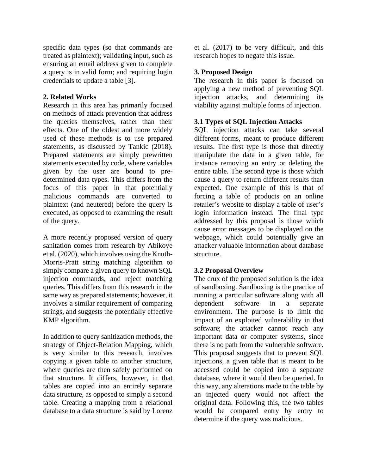specific data types (so that commands are treated as plaintext); validating input, such as ensuring an email address given to complete a query is in valid form; and requiring login credentials to update a table [3].

#### **2. Related Works**

Research in this area has primarily focused on methods of attack prevention that address the queries themselves, rather than their effects. One of the oldest and more widely used of these methods is to use prepared statements, as discussed by Tankic (2018). Prepared statements are simply prewritten statements executed by code, where variables given by the user are bound to predetermined data types. This differs from the focus of this paper in that potentially malicious commands are converted to plaintext (and neutered) before the query is executed, as opposed to examining the result of the query.

A more recently proposed version of query sanitation comes from research by Abikoye et al. (2020), which involves using the Knuth-Morris-Pratt string matching algorithm to simply compare a given query to known SQL injection commands, and reject matching queries. This differs from this research in the same way as prepared statements; however, it involves a similar requirement of comparing strings, and suggests the potentially effective KMP algorithm.

In addition to query sanitization methods, the strategy of Object-Relation Mapping, which is very similar to this research, involves copying a given table to another structure, where queries are then safely performed on that structure. It differs, however, in that tables are copied into an entirely separate data structure, as opposed to simply a second table. Creating a mapping from a relational database to a data structure is said by Lorenz et al. (2017) to be very difficult, and this research hopes to negate this issue.

## **3. Proposed Design**

The research in this paper is focused on applying a new method of preventing SQL injection attacks, and determining its viability against multiple forms of injection.

### **3.1 Types of SQL Injection Attacks**

SQL injection attacks can take several different forms, meant to produce different results. The first type is those that directly manipulate the data in a given table, for instance removing an entry or deleting the entire table. The second type is those which cause a query to return different results than expected. One example of this is that of forcing a table of products on an online retailer's website to display a table of user's login information instead. The final type addressed by this proposal is those which cause error messages to be displayed on the webpage, which could potentially give an attacker valuable information about database structure.

#### **3.2 Proposal Overview**

The crux of the proposed solution is the idea of sandboxing. Sandboxing is the practice of running a particular software along with all dependent software in a separate environment. The purpose is to limit the impact of an exploited vulnerability in that software; the attacker cannot reach any important data or computer systems, since there is no path from the vulnerable software. This proposal suggests that to prevent SQL injections, a given table that is meant to be accessed could be copied into a separate database, where it would then be queried. In this way, any alterations made to the table by an injected query would not affect the original data. Following this, the two tables would be compared entry by entry to determine if the query was malicious.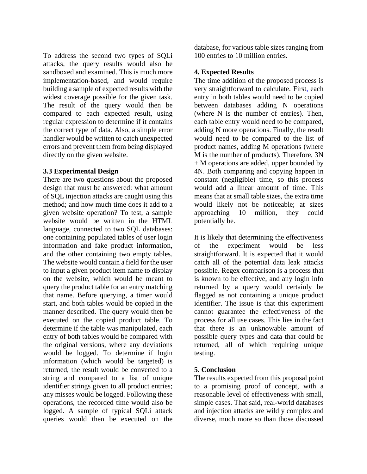To address the second two types of SQLi attacks, the query results would also be sandboxed and examined. This is much more implementation-based, and would require building a sample of expected results with the widest coverage possible for the given task. The result of the query would then be compared to each expected result, using regular expression to determine if it contains the correct type of data. Also, a simple error handler would be written to catch unexpected errors and prevent them from being displayed directly on the given website.

## **3.3 Experimental Design**

There are two questions about the proposed design that must be answered: what amount of SQL injection attacks are caught using this method; and how much time does it add to a given website operation? To test, a sample website would be written in the HTML language, connected to two SQL databases: one containing populated tables of user login information and fake product information, and the other containing two empty tables. The website would contain a field for the user to input a given product item name to display on the website, which would be meant to query the product table for an entry matching that name. Before querying, a timer would start, and both tables would be copied in the manner described. The query would then be executed on the copied product table. To determine if the table was manipulated, each entry of both tables would be compared with the original versions, where any deviations would be logged. To determine if login information (which would be targeted) is returned, the result would be converted to a string and compared to a list of unique identifier strings given to all product entries; any misses would be logged. Following these operations, the recorded time would also be logged. A sample of typical SQLi attack queries would then be executed on the

database, for various table sizes ranging from 100 entries to 10 million entries.

## **4. Expected Results**

The time addition of the proposed process is very straightforward to calculate. First, each entry in both tables would need to be copied between databases adding N operations (where N is the number of entries). Then, each table entry would need to be compared, adding N more operations. Finally, the result would need to be compared to the list of product names, adding M operations (where M is the number of products). Therefore, 3N + M operations are added, upper bounded by 4N. Both comparing and copying happen in constant (negligible) time, so this process would add a linear amount of time. This means that at small table sizes, the extra time would likely not be noticeable; at sizes approaching 10 million, they could potentially be.

It is likely that determining the effectiveness of the experiment would be less straightforward. It is expected that it would catch all of the potential data leak attacks possible. Regex comparison is a process that is known to be effective, and any login info returned by a query would certainly be flagged as not containing a unique product identifier. The issue is that this experiment cannot guarantee the effectiveness of the process for all use cases. This lies in the fact that there is an unknowable amount of possible query types and data that could be returned, all of which requiring unique testing.

## **5. Conclusion**

The results expected from this proposal point to a promising proof of concept, with a reasonable level of effectiveness with small, simple cases. That said, real-world databases and injection attacks are wildly complex and diverse, much more so than those discussed